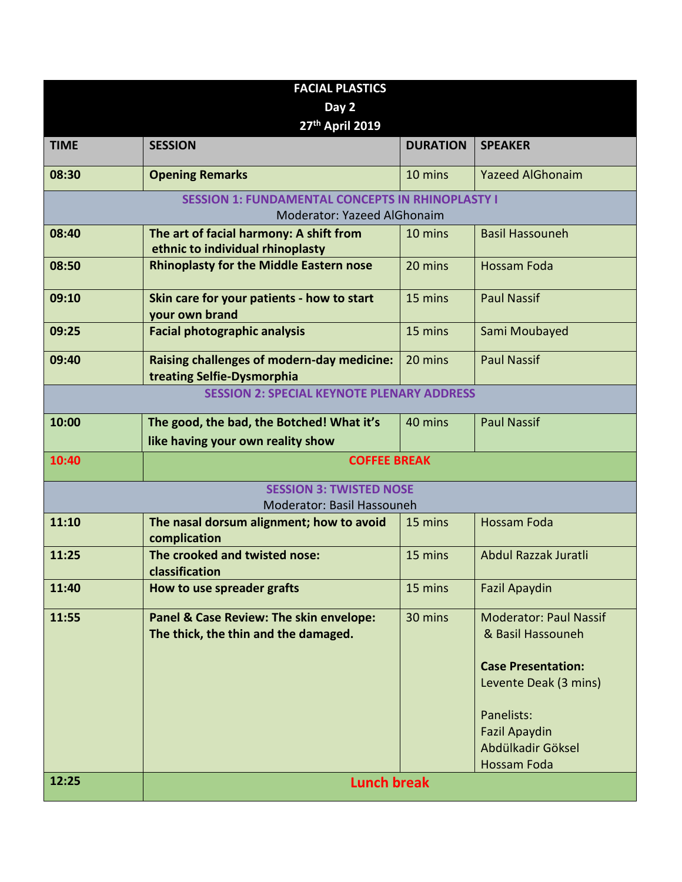| <b>FACIAL PLASTICS</b>         |                                                                                        |                 |                                                                                                                                                                                    |  |  |  |
|--------------------------------|----------------------------------------------------------------------------------------|-----------------|------------------------------------------------------------------------------------------------------------------------------------------------------------------------------------|--|--|--|
| Day 2                          |                                                                                        |                 |                                                                                                                                                                                    |  |  |  |
| 27th April 2019                |                                                                                        |                 |                                                                                                                                                                                    |  |  |  |
| <b>TIME</b>                    | <b>SESSION</b>                                                                         | <b>DURATION</b> | <b>SPEAKER</b>                                                                                                                                                                     |  |  |  |
| 08:30                          | <b>Opening Remarks</b>                                                                 | 10 mins         | <b>Yazeed AlGhonaim</b>                                                                                                                                                            |  |  |  |
|                                | <b>SESSION 1: FUNDAMENTAL CONCEPTS IN RHINOPLASTY I</b><br>Moderator: Yazeed AlGhonaim |                 |                                                                                                                                                                                    |  |  |  |
| 08:40                          | The art of facial harmony: A shift from<br>ethnic to individual rhinoplasty            | 10 mins         | <b>Basil Hassouneh</b>                                                                                                                                                             |  |  |  |
| 08:50                          | <b>Rhinoplasty for the Middle Eastern nose</b>                                         | 20 mins         | <b>Hossam Foda</b>                                                                                                                                                                 |  |  |  |
| 09:10                          | Skin care for your patients - how to start<br>your own brand                           | 15 mins         | <b>Paul Nassif</b>                                                                                                                                                                 |  |  |  |
| 09:25                          | <b>Facial photographic analysis</b>                                                    | 15 mins         | Sami Moubayed                                                                                                                                                                      |  |  |  |
| 09:40                          | <b>Raising challenges of modern-day medicine:</b><br>treating Selfie-Dysmorphia        | 20 mins         | <b>Paul Nassif</b>                                                                                                                                                                 |  |  |  |
|                                | <b>SESSION 2: SPECIAL KEYNOTE PLENARY ADDRESS</b>                                      |                 |                                                                                                                                                                                    |  |  |  |
| 10:00                          | The good, the bad, the Botched! What it's<br>like having your own reality show         | 40 mins         | <b>Paul Nassif</b>                                                                                                                                                                 |  |  |  |
| 10:40                          | <b>COFFEE BREAK</b>                                                                    |                 |                                                                                                                                                                                    |  |  |  |
| <b>SESSION 3: TWISTED NOSE</b> |                                                                                        |                 |                                                                                                                                                                                    |  |  |  |
|                                | Moderator: Basil Hassouneh                                                             |                 |                                                                                                                                                                                    |  |  |  |
| 11:10                          | The nasal dorsum alignment; how to avoid<br>complication                               | 15 mins         | <b>Hossam Foda</b>                                                                                                                                                                 |  |  |  |
| 11:25                          | The crooked and twisted nose:<br>classification                                        | 15 mins         | Abdul Razzak Juratli                                                                                                                                                               |  |  |  |
| 11:40                          | How to use spreader grafts                                                             | 15 mins         | <b>Fazil Apaydin</b>                                                                                                                                                               |  |  |  |
| 11:55                          | Panel & Case Review: The skin envelope:<br>The thick, the thin and the damaged.        | 30 mins         | <b>Moderator: Paul Nassif</b><br>& Basil Hassouneh<br><b>Case Presentation:</b><br>Levente Deak (3 mins)<br>Panelists:<br><b>Fazil Apaydin</b><br>Abdülkadir Göksel<br>Hossam Foda |  |  |  |
| 12:25                          | <b>Lunch break</b>                                                                     |                 |                                                                                                                                                                                    |  |  |  |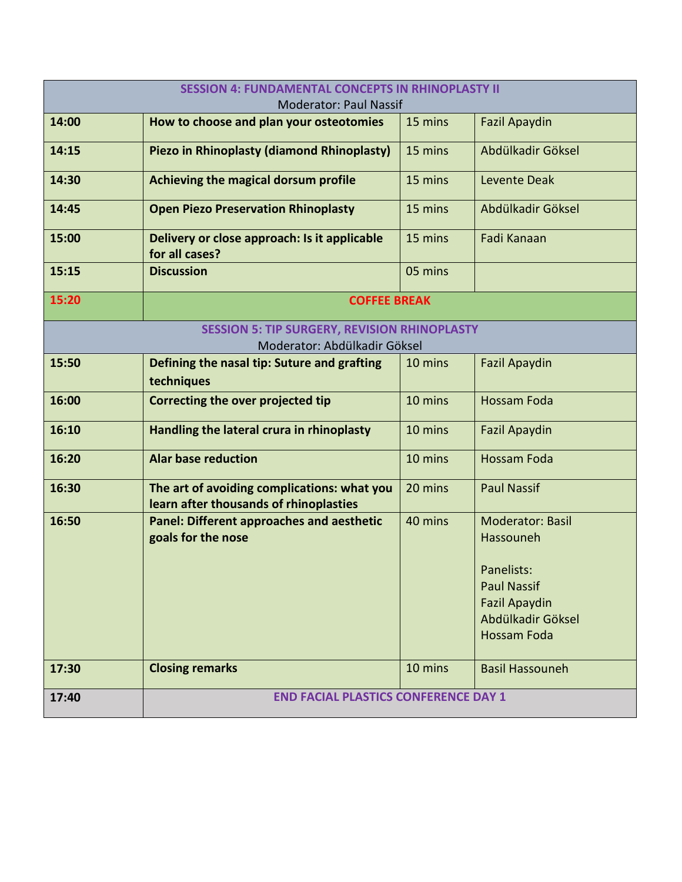| <b>SESSION 4: FUNDAMENTAL CONCEPTS IN RHINOPLASTY II</b><br><b>Moderator: Paul Nassif</b> |                                                                                       |         |                                                                                                     |  |
|-------------------------------------------------------------------------------------------|---------------------------------------------------------------------------------------|---------|-----------------------------------------------------------------------------------------------------|--|
| 14:00                                                                                     | How to choose and plan your osteotomies                                               | 15 mins | <b>Fazil Apaydin</b>                                                                                |  |
| 14:15                                                                                     | Piezo in Rhinoplasty (diamond Rhinoplasty)                                            | 15 mins | Abdülkadir Göksel                                                                                   |  |
| 14:30                                                                                     | Achieving the magical dorsum profile                                                  | 15 mins | Levente Deak                                                                                        |  |
| 14:45                                                                                     | <b>Open Piezo Preservation Rhinoplasty</b>                                            | 15 mins | Abdülkadir Göksel                                                                                   |  |
| 15:00                                                                                     | Delivery or close approach: Is it applicable<br>for all cases?                        | 15 mins | Fadi Kanaan                                                                                         |  |
| 15:15                                                                                     | <b>Discussion</b>                                                                     | 05 mins |                                                                                                     |  |
| 15:20                                                                                     | <b>COFFEE BREAK</b>                                                                   |         |                                                                                                     |  |
|                                                                                           | <b>SESSION 5: TIP SURGERY, REVISION RHINOPLASTY</b><br>Moderator: Abdülkadir Göksel   |         |                                                                                                     |  |
| 15:50                                                                                     | Defining the nasal tip: Suture and grafting<br>techniques                             | 10 mins | <b>Fazil Apaydin</b>                                                                                |  |
| 16:00                                                                                     | Correcting the over projected tip                                                     | 10 mins | <b>Hossam Foda</b>                                                                                  |  |
| 16:10                                                                                     | Handling the lateral crura in rhinoplasty                                             | 10 mins | <b>Fazil Apaydin</b>                                                                                |  |
| 16:20                                                                                     | <b>Alar base reduction</b>                                                            | 10 mins | <b>Hossam Foda</b>                                                                                  |  |
| 16:30                                                                                     | The art of avoiding complications: what you<br>learn after thousands of rhinoplasties | 20 mins | <b>Paul Nassif</b>                                                                                  |  |
| 16:50                                                                                     | <b>Panel: Different approaches and aesthetic</b><br>goals for the nose                | 40 mins | <b>Moderator: Basil</b><br>Hassouneh                                                                |  |
|                                                                                           |                                                                                       |         | Panelists:<br><b>Paul Nassif</b><br><b>Fazil Apaydin</b><br>Abdülkadir Göksel<br><b>Hossam Foda</b> |  |
| 17:30                                                                                     | <b>Closing remarks</b>                                                                | 10 mins | <b>Basil Hassouneh</b>                                                                              |  |
| 17:40                                                                                     | <b>END FACIAL PLASTICS CONFERENCE DAY 1</b>                                           |         |                                                                                                     |  |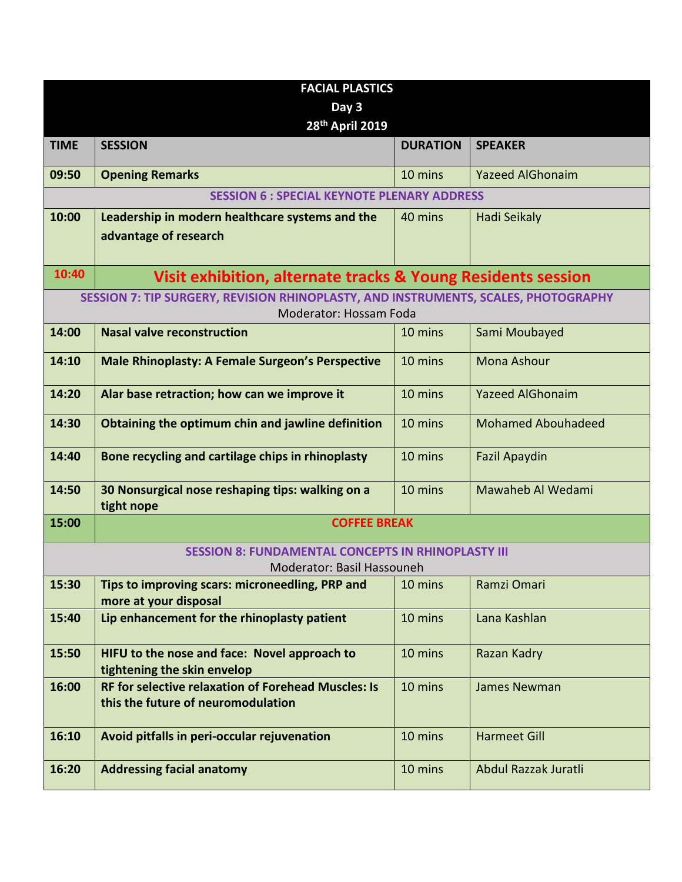| <b>FACIAL PLASTICS</b>                                    |                                                                                                  |                 |                           |  |
|-----------------------------------------------------------|--------------------------------------------------------------------------------------------------|-----------------|---------------------------|--|
| Day 3                                                     |                                                                                                  |                 |                           |  |
|                                                           | 28th April 2019                                                                                  |                 |                           |  |
| <b>TIME</b>                                               | <b>SESSION</b>                                                                                   | <b>DURATION</b> | <b>SPEAKER</b>            |  |
| 09:50                                                     | <b>Opening Remarks</b>                                                                           | 10 mins         | <b>Yazeed AlGhonaim</b>   |  |
|                                                           | <b>SESSION 6 : SPECIAL KEYNOTE PLENARY ADDRESS</b>                                               |                 |                           |  |
| 10:00                                                     | Leadership in modern healthcare systems and the<br>advantage of research                         | 40 mins         | Hadi Seikaly              |  |
| 10:40                                                     | Visit exhibition, alternate tracks & Young Residents session                                     |                 |                           |  |
|                                                           | SESSION 7: TIP SURGERY, REVISION RHINOPLASTY, AND INSTRUMENTS, SCALES, PHOTOGRAPHY               |                 |                           |  |
|                                                           | Moderator: Hossam Foda                                                                           |                 |                           |  |
| 14:00                                                     | <b>Nasal valve reconstruction</b>                                                                | 10 mins         | Sami Moubayed             |  |
| 14:10                                                     | <b>Male Rhinoplasty: A Female Surgeon's Perspective</b>                                          | 10 mins         | <b>Mona Ashour</b>        |  |
| 14:20                                                     | Alar base retraction; how can we improve it                                                      | 10 mins         | <b>Yazeed AlGhonaim</b>   |  |
| 14:30                                                     | Obtaining the optimum chin and jawline definition                                                | 10 mins         | <b>Mohamed Abouhadeed</b> |  |
| 14:40                                                     | Bone recycling and cartilage chips in rhinoplasty                                                | 10 mins         | <b>Fazil Apaydin</b>      |  |
| 14:50                                                     | 30 Nonsurgical nose reshaping tips: walking on a<br>tight nope                                   | 10 mins         | Mawaheb Al Wedami         |  |
| 15:00                                                     | <b>COFFEE BREAK</b>                                                                              |                 |                           |  |
| <b>SESSION 8: FUNDAMENTAL CONCEPTS IN RHINOPLASTY III</b> |                                                                                                  |                 |                           |  |
|                                                           | Moderator: Basil Hassouneh                                                                       |                 |                           |  |
| 15:30                                                     | Tips to improving scars: microneedling, PRP and<br>more at your disposal                         | 10 mins         | Ramzi Omari               |  |
| 15:40                                                     | Lip enhancement for the rhinoplasty patient                                                      | 10 mins         | Lana Kashlan              |  |
| 15:50                                                     | HIFU to the nose and face: Novel approach to<br>tightening the skin envelop                      | 10 mins         | Razan Kadry               |  |
| 16:00                                                     | <b>RF for selective relaxation of Forehead Muscles: Is</b><br>this the future of neuromodulation | 10 mins         | <b>James Newman</b>       |  |
| 16:10                                                     | Avoid pitfalls in peri-occular rejuvenation                                                      | 10 mins         | <b>Harmeet Gill</b>       |  |
| 16:20                                                     | <b>Addressing facial anatomy</b>                                                                 | 10 mins         | Abdul Razzak Juratli      |  |